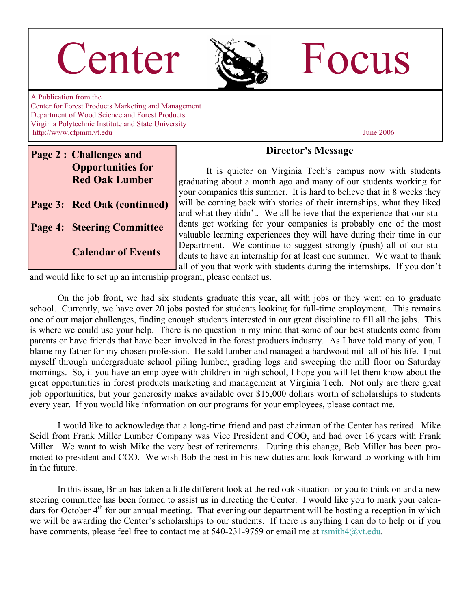# Center & Focus



A Publication from the Center for Forest Products Marketing and Management Department of Wood Science and Forest Products Virginia Polytechnic Institute and State University http://www.cfpmm.vt.edu June 2006

#### **Page 2 : Challenges and Opportunities for Red Oak Lumber**

**Page 3: Red Oak (continued)** 

**Page 4: Steering Committee** 

 **Calendar of Events**

#### **Director's Message**

 It is quieter on Virginia Tech's campus now with students graduating about a month ago and many of our students working for your companies this summer. It is hard to believe that in 8 weeks they will be coming back with stories of their internships, what they liked and what they didn't. We all believe that the experience that our students get working for your companies is probably one of the most valuable learning experiences they will have during their time in our Department. We continue to suggest strongly (push) all of our students to have an internship for at least one summer. We want to thank all of you that work with students during the internships. If you don't

and would like to set up an internship program, please contact us.

 On the job front, we had six students graduate this year, all with jobs or they went on to graduate school. Currently, we have over 20 jobs posted for students looking for full-time employment. This remains one of our major challenges, finding enough students interested in our great discipline to fill all the jobs. This is where we could use your help. There is no question in my mind that some of our best students come from parents or have friends that have been involved in the forest products industry. As I have told many of you, I blame my father for my chosen profession. He sold lumber and managed a hardwood mill all of his life. I put myself through undergraduate school piling lumber, grading logs and sweeping the mill floor on Saturday mornings. So, if you have an employee with children in high school, I hope you will let them know about the great opportunities in forest products marketing and management at Virginia Tech. Not only are there great job opportunities, but your generosity makes available over \$15,000 dollars worth of scholarships to students every year. If you would like information on our programs for your employees, please contact me.

 I would like to acknowledge that a long-time friend and past chairman of the Center has retired. Mike Seidl from Frank Miller Lumber Company was Vice President and COO, and had over 16 years with Frank Miller. We want to wish Mike the very best of retirements. During this change, Bob Miller has been promoted to president and COO. We wish Bob the best in his new duties and look forward to working with him in the future.

 In this issue, Brian has taken a little different look at the red oak situation for you to think on and a new steering committee has been formed to assist us in directing the Center. I would like you to mark your calendars for October 4<sup>th</sup> for our annual meeting. That evening our department will be hosting a reception in which we will be awarding the Center's scholarships to our students. If there is anything I can do to help or if you have comments, please feel free to contact me at 540-231-9759 or email me at  $r \sinh 4(\partial y t \cdot \text{edu})$ .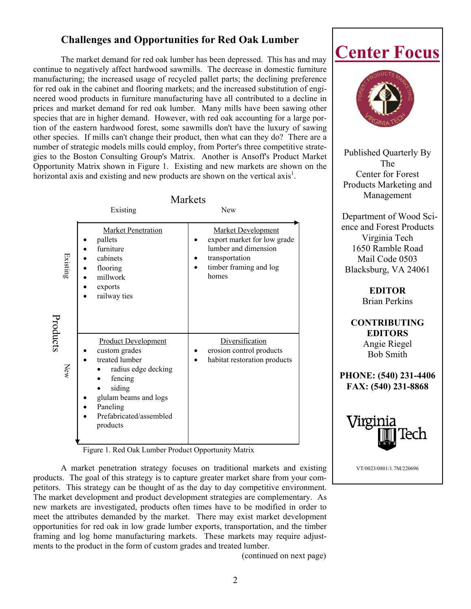#### **Challenges and Opportunities for Red Oak Lumber**

The market demand for red oak lumber has been depressed. This has and may continue to negatively affect hardwood sawmills. The decrease in domestic furniture manufacturing; the increased usage of recycled pallet parts; the declining preference for red oak in the cabinet and flooring markets; and the increased substitution of engineered wood products in furniture manufacturing have all contributed to a decline in prices and market demand for red oak lumber. Many mills have been sawing other species that are in higher demand. However, with red oak accounting for a large portion of the eastern hardwood forest, some sawmills don't have the luxury of sawing other species. If mills can't change their product, then what can they do? There are a number of strategic models mills could employ, from Porter's three competitive strategies to the Boston Consulting Group's Matrix. Another is Ansoff's Product Market Opportunity Matrix shown in Figure 1. Existing and new markets are shown on the horizontal axis and existing and new products are shown on the vertical axis<sup>1</sup>.

|                 | <b>Markets</b>                                                                                                                                                                        |                                                                                                                                       |
|-----------------|---------------------------------------------------------------------------------------------------------------------------------------------------------------------------------------|---------------------------------------------------------------------------------------------------------------------------------------|
|                 | Existing                                                                                                                                                                              | <b>New</b>                                                                                                                            |
| Existing        | <b>Market Penetration</b><br>pallets<br>furniture<br>cabinets<br>flooring<br>millwork<br>exports<br>railway ties                                                                      | <b>Market Development</b><br>export market for low grade<br>lumber and dimension<br>transportation<br>timber framing and log<br>homes |
| Products<br>New | <b>Product Development</b><br>custom grades<br>treated lumber<br>radius edge decking<br>fencing<br>siding<br>glulam beams and logs<br>Paneling<br>Prefabricated/assembled<br>products | Diversification<br>erosion control products<br>habitat restoration products                                                           |

Figure 1. Red Oak Lumber Product Opportunity Matrix

 A market penetration strategy focuses on traditional markets and existing products. The goal of this strategy is to capture greater market share from your competitors. This strategy can be thought of as the day to day competitive environment. The market development and product development strategies are complementary. As new markets are investigated, products often times have to be modified in order to meet the attributes demanded by the market. There may exist market development opportunities for red oak in low grade lumber exports, transportation, and the timber framing and log home manufacturing markets. These markets may require adjustments to the product in the form of custom grades and treated lumber.

(continued on next page)





Published Quarterly By The Center for Forest Products Marketing and Management

 Department of Wood Science and Forest Products Virginia Tech 1650 Ramble Road Mail Code 0503 Blacksburg, VA 24061

> **EDITOR**  Brian Perkins

**CONTRIBUTING EDITORS**  Angie Riegel Bob Smith

**PHONE: (540) 231-4406 FAX: (540) 231-8868** 



VT/0023/0801/1.7M/220696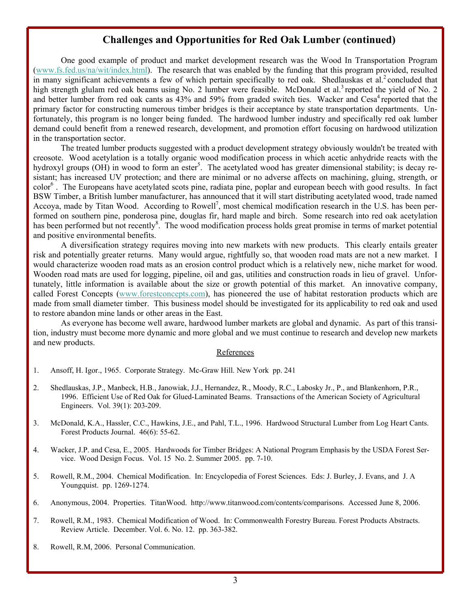#### **Challenges and Opportunities for Red Oak Lumber (continued)**

 One good example of product and market development research was the Wood In Transportation Program (www.fs.fed.us/na/wit/index.html). The research that was enabled by the funding that this program provided, resulted in many significant achievements a few of which pertain specifically to red oak. Shedlauskas et al.<sup>2</sup> concluded that high strength glulam red oak beams using No. 2 lumber were feasible. McDonald et al.<sup>3</sup> reported the yield of No. 2 and better lumber from red oak cants as  $43\%$  and  $59\%$  from graded switch ties. Wacker and Cesa<sup>4</sup> reported that the primary factor for constructing numerous timber bridges is their acceptance by state transportation departments. Unfortunately, this program is no longer being funded. The hardwood lumber industry and specifically red oak lumber demand could benefit from a renewed research, development, and promotion effort focusing on hardwood utilization in the transportation sector.

 The treated lumber products suggested with a product development strategy obviously wouldn't be treated with creosote. Wood acetylation is a totally organic wood modification process in which acetic anhydride reacts with the hydroxyl groups (OH) in wood to form an ester<sup>5</sup>. The acetylated wood has greater dimensional stability; is decay resistant; has increased UV protection; and there are minimal or no adverse affects on machining, gluing, strength, or color<sup>6</sup>. The Europeans have acetylated scots pine, radiata pine, poplar and european beech with good results. In fact BSW Timber, a British lumber manufacturer, has announced that it will start distributing acetylated wood, trade named Accoya, made by Titan Wood. According to Rowell<sup>7</sup>, most chemical modification research in the U.S. has been performed on southern pine, ponderosa pine, douglas fir, hard maple and birch. Some research into red oak acetylation has been performed but not recently<sup>8</sup>. The wood modification process holds great promise in terms of market potential and positive environmental benefits.

 A diversification strategy requires moving into new markets with new products. This clearly entails greater risk and potentially greater returns. Many would argue, rightfully so, that wooden road mats are not a new market. I would characterize wooden road mats as an erosion control product which is a relatively new, niche market for wood. Wooden road mats are used for logging, pipeline, oil and gas, utilities and construction roads in lieu of gravel. Unfortunately, little information is available about the size or growth potential of this market. An innovative company, called Forest Concepts (www.forestconcepts.com), has pioneered the use of habitat restoration products which are made from small diameter timber. This business model should be investigated for its applicability to red oak and used to restore abandon mine lands or other areas in the East.

 As everyone has become well aware, hardwood lumber markets are global and dynamic. As part of this transition, industry must become more dynamic and more global and we must continue to research and develop new markets and new products.

#### References

- 1. Ansoff, H. Igor., 1965. Corporate Strategy. Mc-Graw Hill. New York pp. 241
- 2. Shedlauskas, J.P., Manbeck, H.B., Janowiak, J.J., Hernandez, R., Moody, R.C., Labosky Jr., P., and Blankenhorn, P.R., 1996. Efficient Use of Red Oak for Glued-Laminated Beams. Transactions of the American Society of Agricultural Engineers. Vol. 39(1): 203-209.
- 3. McDonald, K.A., Hassler, C.C., Hawkins, J.E., and Pahl, T.L., 1996. Hardwood Structural Lumber from Log Heart Cants. Forest Products Journal. 46(6): 55-62.
- 4. Wacker, J.P. and Cesa, E., 2005. Hardwoods for Timber Bridges: A National Program Emphasis by the USDA Forest Ser vice. Wood Design Focus. Vol. 15 No. 2. Summer 2005. pp. 7-10.
- 5. Rowell, R.M., 2004. Chemical Modification. In: Encyclopedia of Forest Sciences. Eds: J. Burley, J. Evans, and J. A Youngquist. pp. 1269-1274.
- 6. Anonymous, 2004. Properties. TitanWood. http://www.titanwood.com/contents/comparisons. Accessed June 8, 2006.
- 7. Rowell, R.M., 1983. Chemical Modification of Wood. In: Commonwealth Forestry Bureau. Forest Products Abstracts. Review Article. December. Vol. 6. No. 12. pp. 363-382.
- 8. Rowell, R.M, 2006. Personal Communication.